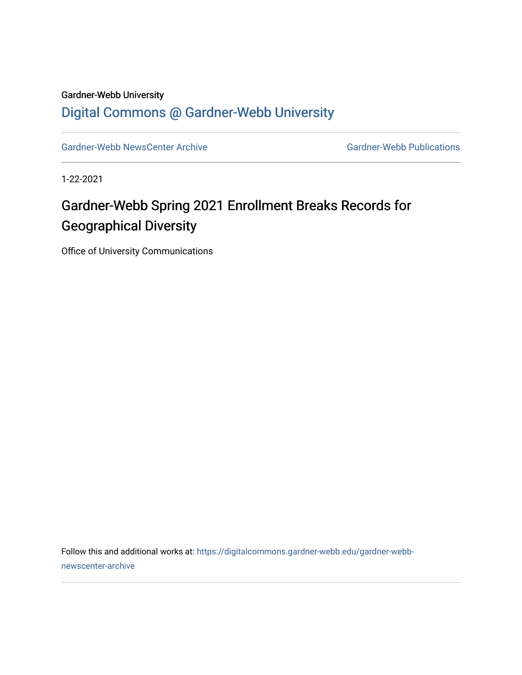### Gardner-Webb University

### [Digital Commons @ Gardner-Webb University](https://digitalcommons.gardner-webb.edu/)

[Gardner-Webb NewsCenter Archive](https://digitalcommons.gardner-webb.edu/gardner-webb-newscenter-archive) Gardner-Webb Publications

1-22-2021

### Gardner-Webb Spring 2021 Enrollment Breaks Records for Geographical Diversity

Office of University Communications

Follow this and additional works at: [https://digitalcommons.gardner-webb.edu/gardner-webb](https://digitalcommons.gardner-webb.edu/gardner-webb-newscenter-archive?utm_source=digitalcommons.gardner-webb.edu%2Fgardner-webb-newscenter-archive%2F2132&utm_medium=PDF&utm_campaign=PDFCoverPages)[newscenter-archive](https://digitalcommons.gardner-webb.edu/gardner-webb-newscenter-archive?utm_source=digitalcommons.gardner-webb.edu%2Fgardner-webb-newscenter-archive%2F2132&utm_medium=PDF&utm_campaign=PDFCoverPages)